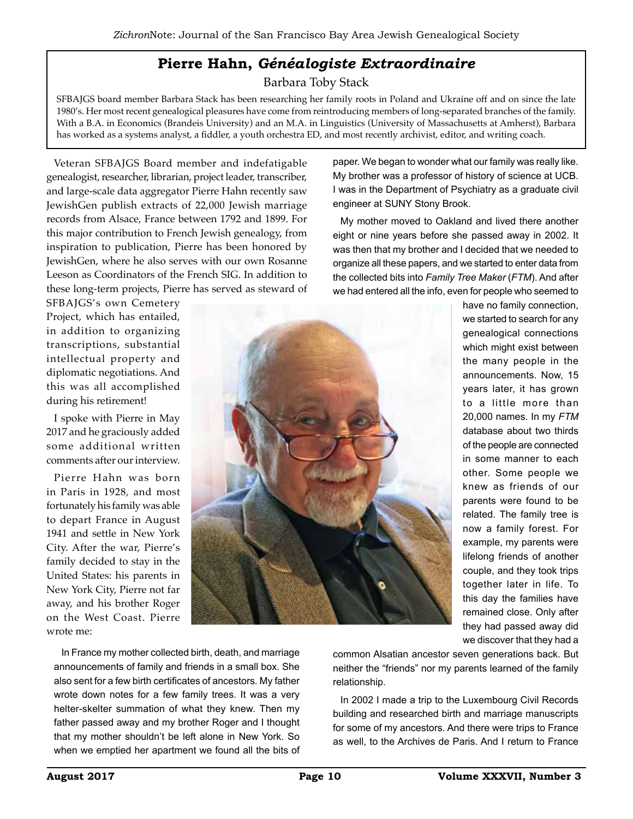## **Pierre Hahn,** *Généalogiste Extraordinaire*

Barbara Toby Stack

SFBAJGS board member Barbara Stack has been researching her family roots in Poland and Ukraine off and on since the late 1980's. Her most recent genealogical pleasures have come from reintroducing members of long-separated branches of the family. With a B.A. in Economics (Brandeis University) and an M.A. in Linguistics (University of Massachusetts at Amherst), Barbara has worked as a systems analyst, a fiddler, a youth orchestra ED, and most recently archivist, editor, and writing coach.

Veteran SFBAJGS Board member and indefatigable genealogist, researcher, librarian, project leader, transcriber, and large-scale data aggregator Pierre Hahn recently saw JewishGen publish extracts of 22,000 Jewish marriage records from Alsace, France between 1792 and 1899. For this major contribution to French Jewish genealogy, from inspiration to publication, Pierre has been honored by JewishGen, where he also serves with our own Rosanne Leeson as Coordinators of the French SIG. In addition to these long-term projects, Pierre has served as steward of

SFBAJGS's own Cemetery Project, which has entailed, in addition to organizing transcriptions, substantial intellectual property and diplomatic negotiations. And this was all accomplished during his retirement!

I spoke with Pierre in May 2017 and he graciously added some additional written comments after our interview.

Pierre Hahn was born in Paris in 1928, and most fortunately his family was able to depart France in August 1941 and settle in New York City. After the war, Pierre's family decided to stay in the United States: his parents in New York City, Pierre not far away, and his brother Roger on the West Coast. Pierre wrote me:

paper. We began to wonder what our family was really like. My brother was a professor of history of science at UCB. I was in the Department of Psychiatry as a graduate civil engineer at SUNY Stony Brook.

My mother moved to Oakland and lived there another eight or nine years before she passed away in 2002. It was then that my brother and I decided that we needed to organize all these papers, and we started to enter data from the collected bits into *Family Tree Maker* (*FTM*). And after we had entered all the info, even for people who seemed to



In France my mother collected birth, death, and marriage announcements of family and friends in a small box. She also sent for a few birth certificates of ancestors. My father wrote down notes for a few family trees. It was a very helter-skelter summation of what they knew. Then my father passed away and my brother Roger and I thought that my mother shouldn't be left alone in New York. So when we emptied her apartment we found all the bits of

common Alsatian ancestor seven generations back. But neither the "friends" nor my parents learned of the family relationship.

In 2002 I made a trip to the Luxembourg Civil Records building and researched birth and marriage manuscripts for some of my ancestors. And there were trips to France as well, to the Archives de Paris. And I return to France

we discover that they had a